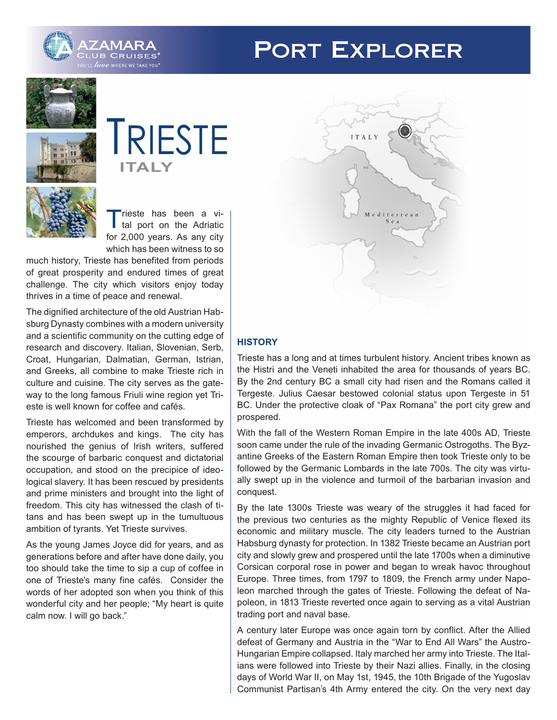

# **PORT EXPLORER**





Trieste has been a vi-<br>
tal port on the Adriatic for 2,000 years. As any city which has been witness to so

much history, Trieste has benefited from periods of great prosperity and endured times of great challenge. The city which visitors enjoy today thrives in a time of peace and renewal.

The dignified architecture of the old Austrian Habsburg Dynasty combines with a modern university and a scientific community on the cutting edge of research and discovery. Italian, Slovenian, Serb, Croat, Hungarian, Dalmatian, German, Istrian, and Greeks, all combine to make Trieste rich in culture and cuisine. The city serves as the gateway to the long famous Friuli wine region yet Trieste is well known for coffee and cafés.

Trieste has welcomed and been transformed by emperors, archdukes and kings. The city has nourished the genius of Irish writers, suffered the scourge of barbaric conquest and dictatorial occupation, and stood on the precipice of ideological slavery. It has been rescued by presidents and prime ministers and brought into the light of freedom. This city has witnessed the clash of titans and has been swept up in the tumultuous ambition of tyrants. Yet Trieste survives.

As the young James Joyce did for years, and as generations before and after have done daily, you too should take the time to sip a cup of coffee in one of Trieste's many fine cafés. Consider the words of her adopted son when you think of this wonderful city and her people; "My heart is quite calm now. I will go back."



# **HISTORY**

Trieste has a long and at times turbulent history. Ancient tribes known as the Histri and the Veneti inhabited the area for thousands of years BC. By the 2nd century BC a small city had risen and the Romans called it Tergeste. Julius Caesar bestowed colonial status upon Tergeste in 51 BC. Under the protective cloak of "Pax Romana" the port city grew and prospered.

With the fall of the Western Roman Empire in the late 400s AD, Trieste soon came under the rule of the invading Germanic Ostrogoths. The Byzantine Greeks of the Eastern Roman Empire then took Trieste only to be followed by the Germanic Lombards in the late 700s. The city was virtually swept up in the violence and turmoil of the barbarian invasion and conquest.

By the late 1300s Trieste was weary of the struggles it had faced for the previous two centuries as the mighty Republic of Venice flexed its economic and military muscle. The city leaders turned to the Austrian Habsburg dynasty for protection. In 1382 Trieste became an Austrian port city and slowly grew and prospered until the late 1700s when a diminutive Corsican corporal rose in power and began to wreak havoc throughout Europe. Three times, from 1797 to 1809, the French army under Napoleon marched through the gates of Trieste. Following the defeat of Napoleon, in 1813 Trieste reverted once again to serving as a vital Austrian trading port and naval base.

A century later Europe was once again torn by conflict. After the Allied defeat of Germany and Austria in the "War to End All Wars" the Austro-Hungarian Empire collapsed. Italy marched her army into Trieste. The Italians were followed into Trieste by their Nazi allies. Finally, in the closing days of World War II, on May 1st, 1945, the 10th Brigade of the Yugoslav Communist Partisan's 4th Army entered the city. On the very next day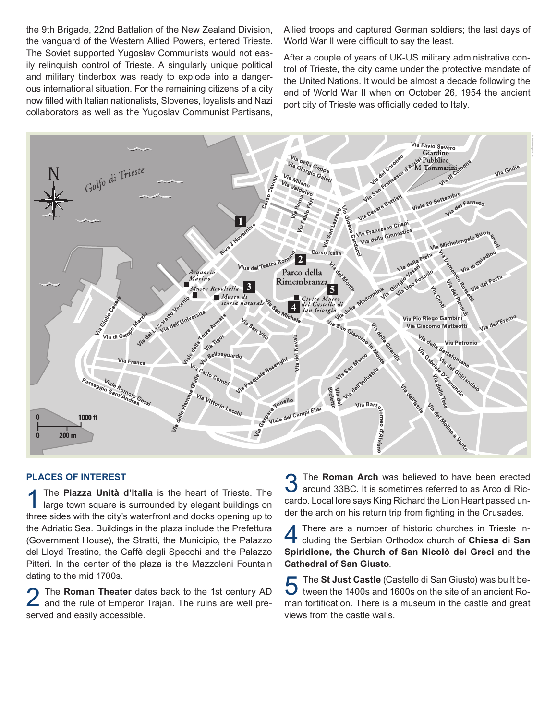the 9th Brigade, 22nd Battalion of the New Zealand Division, the vanguard of the Western Allied Powers, entered Trieste. The Soviet supported Yugoslav Communists would not easily relinquish control of Trieste. A singularly unique political and military tinderbox was ready to explode into a dangerous international situation. For the remaining citizens of a city now filled with Italian nationalists, Slovenes, loyalists and Nazi collaborators as well as the Yugoslav Communist Partisans,

Allied troops and captured German soldiers; the last days of World War II were difficult to say the least.

After a couple of years of UK-US military administrative control of Trieste, the city came under the protective mandate of the United Nations. It would be almost a decade following the end of World War II when on October 26, 1954 the ancient port city of Trieste was officially ceded to Italy.



#### **PLACES OF INTEREST**

The **Piazza Unità d'Italia** is the heart of Trieste. The large town square is surrounded by elegant buildings on three sides with the city's waterfront and docks opening up to the Adriatic Sea. Buildings in the plaza include the Prefettura (Government House), the Stratti, the Municipio, the Palazzo del Lloyd Trestino, the Caffè degli Specchi and the Palazzo Pitteri. In the center of the plaza is the Mazzoleni Fountain dating to the mid 1700s.

2 The **Roman Theater** dates back to the 1st century AD and the rule of Emperor Trajan. The ruins are well preserved and easily accessible.

**3** The **Roman Arch** was believed to have been erected around 33BC. It is sometimes referred to as Arco di Riccardo. Local lore says King Richard the Lion Heart passed under the arch on his return trip from fighting in the Crusades.

4 There are a number of historic churches in Trieste in-cluding the Serbian Orthodox church of **Chiesa di San Spiridione, the Church of San Nicolò dei Greci** and **the Cathedral of San Giusto**.

5 The **St Just Castle** (Castello di San Giusto) was built between the 1400s and 1600s on the site of an ancient Roman fortification. There is a museum in the castle and great views from the castle walls.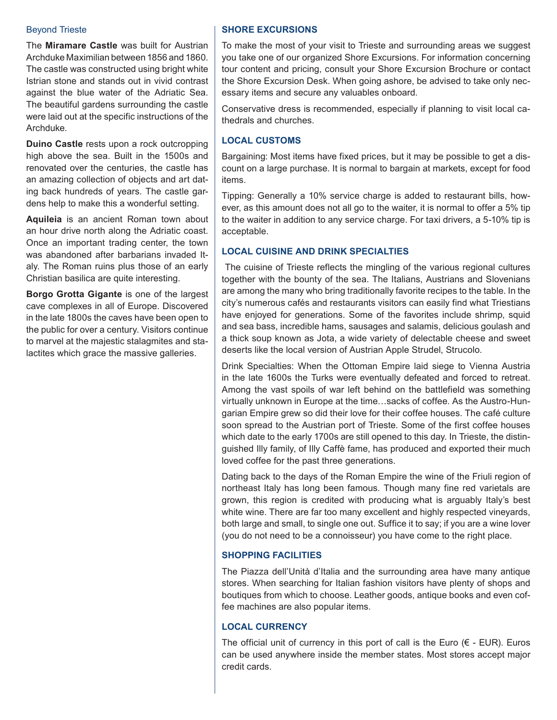### Beyond Trieste

The **Miramare Castle** was built for Austrian Archduke Maximilian between 1856 and 1860. The castle was constructed using bright white Istrian stone and stands out in vivid contrast against the blue water of the Adriatic Sea. The beautiful gardens surrounding the castle were laid out at the specific instructions of the Archduke.

**Duino Castle** rests upon a rock outcropping high above the sea. Built in the 1500s and renovated over the centuries, the castle has an amazing collection of objects and art dating back hundreds of years. The castle gardens help to make this a wonderful setting.

**Aquileia** is an ancient Roman town about an hour drive north along the Adriatic coast. Once an important trading center, the town was abandoned after barbarians invaded Italy. The Roman ruins plus those of an early Christian basilica are quite interesting.

**Borgo Grotta Gigante** is one of the largest cave complexes in all of Europe. Discovered in the late 1800s the caves have been open to the public for over a century. Visitors continue to marvel at the majestic stalagmites and stalactites which grace the massive galleries.

## **SHORE EXCURSIONS**

To make the most of your visit to Trieste and surrounding areas we suggest you take one of our organized Shore Excursions. For information concerning tour content and pricing, consult your Shore Excursion Brochure or contact the Shore Excursion Desk. When going ashore, be advised to take only necessary items and secure any valuables onboard.

Conservative dress is recommended, especially if planning to visit local cathedrals and churches.

## **LOCAL CUSTOMS**

Bargaining: Most items have fixed prices, but it may be possible to get a discount on a large purchase. It is normal to bargain at markets, except for food items.

Tipping: Generally a 10% service charge is added to restaurant bills, however, as this amount does not all go to the waiter, it is normal to offer a 5% tip to the waiter in addition to any service charge. For taxi drivers, a 5-10% tip is acceptable.

## **LOCAL CUISINE AND DRINK SPECIALTIES**

 The cuisine of Trieste reflects the mingling of the various regional cultures together with the bounty of the sea. The Italians, Austrians and Slovenians are among the many who bring traditionally favorite recipes to the table. In the city's numerous cafés and restaurants visitors can easily find what Triestians have enjoyed for generations. Some of the favorites include shrimp, squid and sea bass, incredible hams, sausages and salamis, delicious goulash and a thick soup known as Jota, a wide variety of delectable cheese and sweet deserts like the local version of Austrian Apple Strudel, Strucolo.

Drink Specialties: When the Ottoman Empire laid siege to Vienna Austria in the late 1600s the Turks were eventually defeated and forced to retreat. Among the vast spoils of war left behind on the battlefield was something virtually unknown in Europe at the time…sacks of coffee. As the Austro-Hungarian Empire grew so did their love for their coffee houses. The café culture soon spread to the Austrian port of Trieste. Some of the first coffee houses which date to the early 1700s are still opened to this day. In Trieste, the distinguished Illy family, of Illy Caffè fame, has produced and exported their much loved coffee for the past three generations.

Dating back to the days of the Roman Empire the wine of the Friuli region of northeast Italy has long been famous. Though many fine red varietals are grown, this region is credited with producing what is arguably Italy's best white wine. There are far too many excellent and highly respected vineyards, both large and small, to single one out. Suffice it to say; if you are a wine lover (you do not need to be a connoisseur) you have come to the right place.

# **SHOPPING FACILITIES**

The Piazza dell'Unità d'Italia and the surrounding area have many antique stores. When searching for Italian fashion visitors have plenty of shops and boutiques from which to choose. Leather goods, antique books and even coffee machines are also popular items.

# **LOCAL CURRENCY**

The official unit of currency in this port of call is the Euro  $(\epsilon - EUR)$ . Euros can be used anywhere inside the member states. Most stores accept major credit cards.